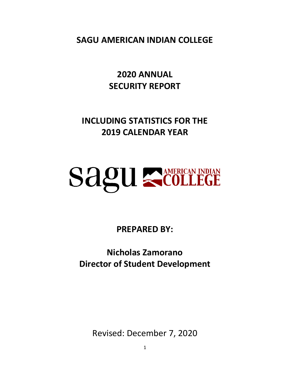**SAGU AMERICAN INDIAN COLLEGE**

**2020 ANNUAL SECURITY REPORT**

**INCLUDING STATISTICS FOR THE 2019 CALENDAR YEAR**

# **SAQUE COLLEGE**

**PREPARED BY:**

**Nicholas Zamorano Director of Student Development**

Revised: December 7, 2020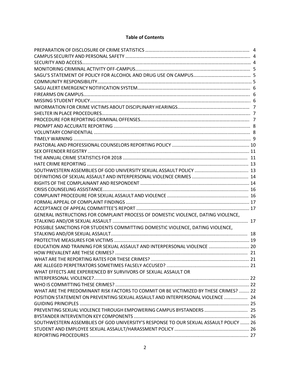# **Table of Contents**

| GENERAL INSTRUCTIONS FOR COMPLAINT PROCESS OF DOMESTIC VIOLENCE, DATING VIOLENCE,     |  |
|---------------------------------------------------------------------------------------|--|
|                                                                                       |  |
| POSSIBLE SANCTIONS FOR STUDENTS COMMITTING DOMESTIC VIOLENCE, DATING VIOLENCE,        |  |
|                                                                                       |  |
|                                                                                       |  |
| EDUCATION AND TRAINING FOR SEXUAL ASSAULT AND INTERPERSONAL VIOLENCE  20              |  |
|                                                                                       |  |
|                                                                                       |  |
|                                                                                       |  |
| WHAT EFFECTS ARE EXPERIENCED BY SURVIVORS OF SEXUAL ASSAULT OR                        |  |
|                                                                                       |  |
|                                                                                       |  |
| WHAT ARE THE PREDOMINANT RISK FACTORS TO COMMIT OR BE VICTIMIZED BY THESE CRIMES?  22 |  |
| POSITION STATEMENT ON PREVENTING SEXUAL ASSAULT AND INTERPERSONAL VIOLENCE  24        |  |
|                                                                                       |  |
|                                                                                       |  |
|                                                                                       |  |
| SOUTHWESTERN ASSEMBLIES OF GOD UNIVERSITY'S RESPONSE TO OUR SEXUAL ASSAULT POLICY  26 |  |
|                                                                                       |  |
|                                                                                       |  |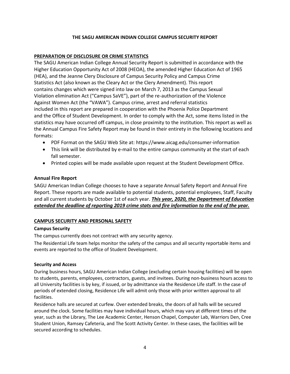## **THE SAGU AMERICAN INDIAN COLLEGE CAMPUS SECURITY REPORT**

## **PREPARATION OF DISCLOSURE OR CRIME STATISTICS**

The SAGU American Indian College Annual Security Report is submitted in accordance with the Higher Education Opportunity Act of 2008 (HEOA), the amended Higher Education Act of 1965 (HEA), and the Jeanne Clery Disclosure of Campus Security Policy and Campus Crime Statistics Act (also known as the Cleary Act or the Clery Amendment). This report contains changes which were signed into law on March 7, 2013 as the Campus Sexual Violation elimination Act ("Campus SaVE"), part of the re-authorization of the Violence Against Women Act (the "VAWA"). Campus crime, arrest and referral statistics included in this report are prepared in cooperation with the Phoenix Police Department and the Office of Student Development. In order to comply with the Act, some items listed in the statistics may have occurred off campus, in close proximity to the institution. This report as well as the Annual Campus Fire Safety Report may be found in their entirety in the following locations and formats:

- PDF Format on the SAGU Web Site at: https://www.aicag.edu/consumer-information
- This link will be distributed by e-mail to the entire campus community at the start of each fall semester.
- Printed copies will be made available upon request at the Student Development Office.

## **Annual Fire Report**

SAGU American Indian College chooses to have a separate Annual Safety Report and Annual Fire Report. These reports are made available to potential students, potential employees, Staff, Faculty and all current students by October 1st of each year. *This year, 2020, the Department of Education extended the deadline of reporting 2019 crime stats and fire information to the end of the year.*

## **CAMPUS SECURITY AND PERSONAL SAFETY**

## **Campus Security**

The campus currently does not contract with any security agency.

The Residential Life team helps monitor the safety of the campus and all security reportable items and events are reported to the office of Student Development.

## **Security and Access**

During business hours, SAGU American Indian College (excluding certain housing facilities) will be open to students, parents, employees, contractors, guests, and invitees. During non-business hours access to all University facilities is by key, if issued, or by admittance via the Residence Life staff. In the case of periods of extended closing, Residence Life will admit only those with prior written approval to all facilities.

Residence halls are secured at curfew. Over extended breaks, the doors of all halls will be secured around the clock. Some facilities may have individual hours, which may vary at different times of the year, such as the Library, The Lee Academic Center, Henson Chapel, Computer Lab, Warriors Den, Cree Student Union, Ramsey Cafeteria, and The Scott Activity Center. In these cases, the facilities will be secured according to schedules.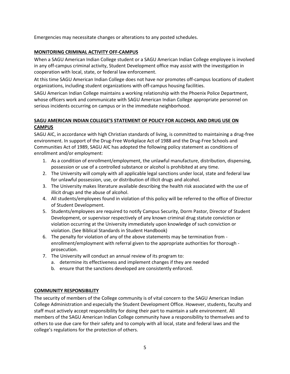Emergencies may necessitate changes or alterations to any posted schedules.

## **MONITORING CRIMINAL ACTIVITY OFF-CAMPUS**

When a SAGU American Indian College student or a SAGU American Indian College employee is involved in any off-campus criminal activity, Student Development office may assist with the investigation in cooperation with local, state, or federal law enforcement.

At this time SAGU American Indian College does not have nor promotes off-campus locations of student organizations, including student organizations with off-campus housing facilities.

SAGU American Indian College maintains a working relationship with the Phoenix Police Department, whose officers work and communicate with SAGU American Indian College appropriate personnel on serious incidents occurring on campus or in the immediate neighborhood.

# **SAGU AMERICAN INDIAN COLLEGE'S STATEMENT OF POLICY FOR ALCOHOL AND DRUG USE ON CAMPUS**

SAGU AIC, in accordance with high Christian standards of living, is committed to maintaining a drug-free environment. In support of the Drug-Free Workplace Act of 1988 and the Drug-Free Schools and Communities Act of 1989, SAGU AIC has adopted the following policy statement as conditions of enrollment and/or employment:

- 1. As a condition of enrollment/employment, the unlawful manufacture, distribution, dispensing, possession or use of a controlled substance or alcohol is prohibited at any time.
- 2. The University will comply with all applicable legal sanctions under local, state and federal law for unlawful possession, use, or distribution of illicit drugs and alcohol.
- 3. The University makes literature available describing the health risk associated with the use of illicit drugs and the abuse of alcohol.
- 4. All students/employees found in violation of this policy will be referred to the office of Director of Student Development.
- 5. Students/employees are required to notify Campus Security, Dorm Pastor, Director of Student Development, or supervisor respectively of any known criminal drug statute conviction or violation occurring at the University immediately upon knowledge of such conviction or violation. (See Biblical Standards in Student Handbook)
- 6. The penalty for violation of any of the above statements may be termination from enrollment/employment with referral given to the appropriate authorities for thorough prosecution.
- 7. The University will conduct an annual review of its program to:
	- a. determine its effectiveness and implement changes if they are needed
	- b. ensure that the sanctions developed are consistently enforced.

## **COMMUNITY RESPONSIBILITY**

The security of members of the College community is of vital concern to the SAGU American Indian College Administration and especially the Student Development Office. However, students, faculty and staff must actively accept responsibility for doing their part to maintain a safe environment. All members of the SAGU American Indian College community have a responsibility to themselves and to others to use due care for their safety and to comply with all local, state and federal laws and the college's regulations for the protection of others.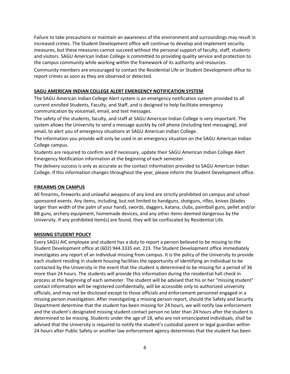Failure to take precautions or maintain an awareness of the environment and surroundings may result in increased crimes. The Student Development office will continue to develop and implement security measures, but these measures cannot succeed without the personal support of faculty, staff, students and visitors. SAGU American Indian College is committed to providing quality service and protection to the campus community while working within the framework of its authority and resources. Community members are encouraged to contact the Residential Life or Student Development office to report crimes as soon as they are observed or detected.

## **SAGU AMERICAN INDIAN COLLEGE ALERT EMERGENCY NOTIFICATION SYSTEM**

The SAGU American Indian College Alert system is an emergency notification system provided to all current enrolled Students, Faculty, and Staff, and is designed to help facilitate emergency communication by voicemail, email, and text messages.

The safety of the students, faculty, and staff at SAGU American Indian College is very important. The system allows the University to send a message quickly by cell phone (including text messaging), and email, to alert you of emergency situations at SAGU American Indian College.

The information you provide will only be used in an emergency situation on the SAGU American Indian College campus.

Students are required to confirm and if necessary, update their SAGU American Indian College Alert Emergency Notification information at the beginning of each semester.

The delivery success is only as accurate as the contact information provided to SAGU American Indian College. If this information changes throughout the year, please inform the Student Development office.

## **FIREARMS ON CAMPUS**

All firearms, fireworks and unlawful weapons of any kind are strictly prohibited on campus and school sponsored events. Any items, including, but not limited to handguns, shotguns, rifles, knives (blades larger than width of the palm of your hand), swords, daggers, katana, clubs, paintball guns, pellet and/or BB guns, archery equipment, homemade devices, and any other items deemed dangerous by the University. If any prohibited item(s) are found, they will be confiscated by Residential Life.

## **MISSING STUDENT POLICY**

Every SAGU AIC employee and student has a duty to report a person believed to be missing to the Student Development office at (602) 944.3335 ext. 223. The Student Development office immediately investigates any report of an individual missing from campus. It is the policy of the University to provide each student residing in student housing facilities the opportunity of identifying an individual to be contacted by the University in the event that the student is determined to be missing for a period of 36 more than 24 hours. The students will provide this information during the residential hall check in process at the beginning of each semester. The student will be advised that his or her "missing student" contact information will be registered confidentially, will be accessible only to authorized university officials, and may not be disclosed except to those officials and enforcement personnel engaged in a missing person investigation. After investigating a missing person report, should the Safety and Security Department determine that the student has been missing for 24 hours, we will notify law enforcement and the student's designated missing student contact person no later than 24 hours after the student is determined to be missing. Students under the age of 18, who are not emancipated individuals, shall be advised that the University is required to notify the student's custodial parent or legal guardian within 24 hours after Public Safety or another law enforcement agency determines that the student has been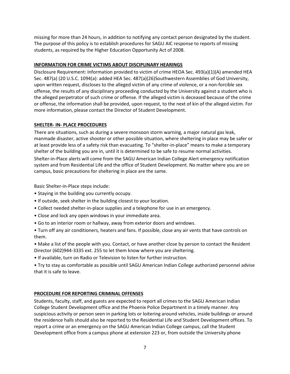missing for more than 24 hours, in addition to notifying any contact person designated by the student. The purpose of this policy is to establish procedures for SAGU AIC response to reports of missing students, as required by the Higher Education Opportunity Act of 2008.

# **INFORMATION FOR CRIME VICTIMS ABOUT DISCIPLINARY HEARINGS**

Disclosure Requirement: Information provided to victim of crime HEOA Sec. 493(a)(1)(A) amended HEA Sec. 487(a) (20 U.S.C. 1094(a): added HEA Sec. 487(a)(26)Southwestern Assemblies of God University, upon written request, discloses to the alleged victim of any crime of violence, or a non-forcible sex offense, the results of any disciplinary proceeding conducted by the University against a student who is the alleged perpetrator of such crime or offense. If the alleged victim is deceased because of the crime or offense, the information shall be provided, upon request, to the next of kin of the alleged victim. For more information, please contact the Director of Student Development.

## **SHELTER- IN- PLACE PROCEDURES**

There are situations, such as during a severe monsoon storm warning, a major natural gas leak, manmade disaster, active shooter or other possible situation, where sheltering in place may be safer or at least provide less of a safety risk than evacuating. To "shelter-in-place" means to make a temporary shelter of the building you are in, until it is determined to be safe to resume normal activities.

Shelter-in-Place alerts will come from the SAGU American Indian College Alert emergency notification system and from Residential Life and the office of Student Development. No matter where you are on campus, basic precautions for sheltering in place are the same.

Basic Shelter-in-Place steps include:

- Staying in the building you currently occupy.
- If outside, seek shelter in the building closest to your location.
- Collect needed shelter-in-place supplies and a telephone for use in an emergency.
- Close and lock any open windows in your immediate area.
- Go to an interior room or hallway, away from exterior doors and windows.
- Turn off any air conditioners, heaters and fans. If possible, close any air vents that have controls on them.

• Make a list of the people with you. Contact, or have another close by person to contact the Resident Director (602)944-3335 ext. 255 to let them know where you are sheltering.

• If available, turn on Radio or Television to listen for further instruction.

• Try to stay as comfortable as possible until SAGU American Indian College authorized personnel advise that it is safe to leave.

## **PROCEDURE FOR REPORTING CRIMINAL OFFENSES**

Students, faculty, staff, and guests are expected to report all crimes to the SAGU American Indian College Student Development office and the Phoenix Police Department in a timely manner. Any suspicious activity or person seen in parking lots or loitering around vehicles, inside buildings or around the residence halls should also be reported to the Residential Life and Student Development offices. To report a crime or an emergency on the SAGU American Indian College campus, call the Student Development office from a campus phone at extension 223 or, from outside the University phone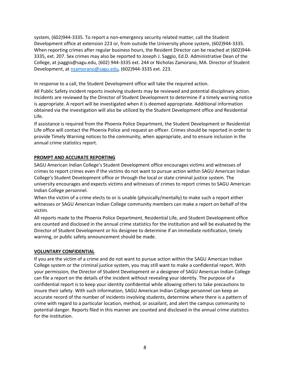system, (602)944-3335. To report a non-emergency security related matter, call the Student Development office at extension 223 or, from outside the University phone system, (602)944-3335. When reporting crimes after regular business hours, the Resident Director can be reached at (602)944- 3335, ext. 207. Sex crimes may also be reported to Joseph J. Saggio, Ed.D. Administrative Dean of the College, at jsaggio@sagu.edu, (602) 944-3335 ext. 244 or Nicholas Zamorano, MA. Director of Student Development, at [nzamorano@sagu.edu,](mailto:nzamorano@sagu.edu) (602)944-3335 ext. 223.

In response to a call, the Student Development office will take the required action.

All Public Safety incident reports involving students may be reviewed and potential disciplinary action. Incidents are reviewed by the Director of Student Development to determine if a timely warning notice is appropriate. A report will be investigated when it is deemed appropriate. Additional information obtained via the investigation will also be utilized by the Student Development office and Residential Life.

If assistance is required from the Phoenix Police Department, the Student Development or Residential Life office will contact the Phoenix Police and request an officer. Crimes should be reported in order to provide Timely Warning notices to the community, when appropriate, and to ensure inclusion in the annual crime statistics report.

## **PROMPT AND ACCURATE REPORTING**

SAGU American Indian College's Student Development office encourages victims and witnesses of crimes to report crimes even if the victims do not want to pursue action within SAGU American Indian College's Student Development office or through the local or state criminal justice system. The university encourages and expects victims and witnesses of crimes to report crimes to SAGU American Indian College personnel.

When the victim of a crime elects to or is unable (physically/mentally) to make such a report either witnesses or SAGU American Indian College community members can make a report on behalf of the victim.

All reports made to the Phoenix Police Department, Residential Life, and Student Development office are counted and disclosed in the annual crime statistics for the institution and will be evaluated by the Director of Student Development or his designee to determine if an immediate notification, timely warning, or public safety announcement should be made.

## **VOLUNTARY CONFIDENTIAL**

If you are the victim of a crime and do not want to pursue action within the SAGU American Indian College system or the criminal justice system, you may still want to make a confidential report. With your permission, the Director of Student Development or a designee of SAGU American Indian College can file a report on the details of the incident without revealing your identity. The purpose of a confidential report is to keep your identity confidential while allowing others to take precautions to insure their safety. With such information, SAGU American Indian College personnel can keep an accurate record of the number of incidents involving students, determine where there is a pattern of crime with regard to a particular location, method, or assailant, and alert the campus community to potential danger. Reports filed in this manner are counted and disclosed in the annual crime statistics for the institution.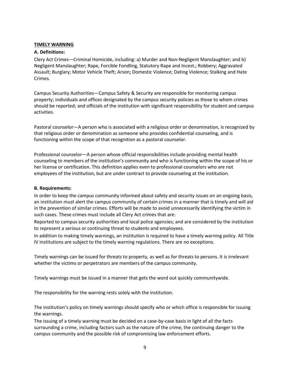#### **TIMELY WARNING**

#### **A. Definitions:**

Clery Act Crimes—Criminal Homicide, including: a) Murder and Non-Negligent Manslaughter; and b) Negligent Manslaughter; Rape, Forcible Fondling, Statutory Rape and Incest.; Robbery; Aggravated Assault; Burglary; Motor Vehicle Theft; Arson; Domestic Violence; Dating Violence; Stalking and Hate Crimes.

Campus Security Authorities—Campus Safety & Security are responsible for monitoring campus property; individuals and offices designated by the campus security policies as those to whom crimes should be reported; and officials of the institution with significant responsibility for student and campus activities.

Pastoral counselor—A person who is associated with a religious order or denomination, is recognized by that religious order or denomination as someone who provides confidential counseling, and is functioning within the scope of that recognition as a pastoral counselor.

Professional counselor—A person whose official responsibilities include providing mental health counseling to members of the institution's community and who is functioning within the scope of his or her license or certification. This definition applies even to professional counselors who are not employees of the institution, but are under contract to provide counseling at the institution.

#### **B. Requirements:**

In order to keep the campus community informed about safety and security issues on an ongoing basis, an institution must alert the campus community of certain crimes in a manner that is timely and will aid in the prevention of similar crimes. Efforts will be made to avoid unnecessarily identifying the victim in such cases. These crimes must include all Clery Act crimes that are:

Reported to campus security authorities and local police agencies; and are considered by the institution to represent a serious or continuing threat to students and employees.

In addition to making timely warnings, an institution is required to have a timely warning policy. All Title IV institutions are subject to the timely warning regulations. There are no exceptions.

Timely warnings can be issued for threats to property, as well as for threats to persons. It is irrelevant whether the victims or perpetrators are members of the campus community.

Timely warnings must be issued in a manner that gets the word out quickly communitywide.

The responsibility for the warning rests solely with the institution.

The institution's policy on timely warnings should specify who or which office is responsible for issuing the warnings.

The issuing of a timely warning must be decided on a case-by-case basis in light of all the facts surrounding a crime, including factors such as the nature of the crime, the continuing danger to the campus community and the possible risk of compromising law enforcement efforts.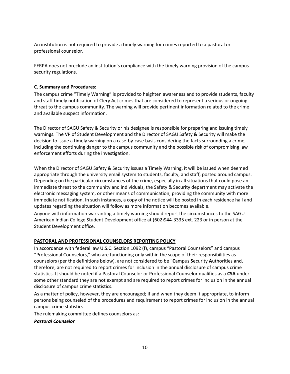An institution is not required to provide a timely warning for crimes reported to a pastoral or professional counselor.

FERPA does not preclude an institution's compliance with the timely warning provision of the campus security regulations.

## **C. Summary and Procedures:**

The campus crime "Timely Warning" is provided to heighten awareness and to provide students, faculty and staff timely notification of Clery Act crimes that are considered to represent a serious or ongoing threat to the campus community. The warning will provide pertinent information related to the crime and available suspect information.

The Director of SAGU Safety & Security or his designee is responsible for preparing and issuing timely warnings. The VP of Student Development and the Director of SAGU Safety & Security will make the decision to issue a timely warning on a case-by-case basis considering the facts surrounding a crime, including the continuing danger to the campus community and the possible risk of compromising law enforcement efforts during the investigation.

When the Director of SAGU Safety & Security issues a Timely Warning, it will be issued when deemed appropriate through the university email system to students, faculty, and staff, posted around campus. Depending on the particular circumstances of the crime, especially in all situations that could pose an immediate threat to the community and individuals, the Safety & Security department may activate the electronic messaging system, or other means of communication, providing the community with more immediate notification. In such instances, a copy of the notice will be posted in each residence hall and updates regarding the situation will follow as more information becomes available.

Anyone with information warranting a timely warning should report the circumstances to the SAGU American Indian College Student Development office at (602)944-3335 ext. 223 or in person at the Student Development office.

## **PASTORAL AND PROFESSIONAL COUNSELORS REPORTING POLICY**

In accordance with federal law U.S.C. Section 1092 (f), campus "Pastoral Counselors" and campus "Professional Counselors," who are functioning only within the scope of their responsibilities as counselors (per the definitions below), are not considered to be "**C**ampus **S**ecurity **A**uthorities and, therefore, are not required to report crimes for inclusion in the annual disclosure of campus crime statistics. It should be noted if a Pastoral Counselor or Professional Counselor qualifies as a **CSA** under some other standard they are not exempt and are required to report crimes for inclusion in the annual disclosure of campus crime statistics.

As a matter of policy, however, they are encouraged; if and when they deem it appropriate, to inform persons being counseled of the procedures and requirement to report crimes for inclusion in the annual campus crime statistics.

The rulemaking committee defines counselors as:

## *Pastoral Counselor*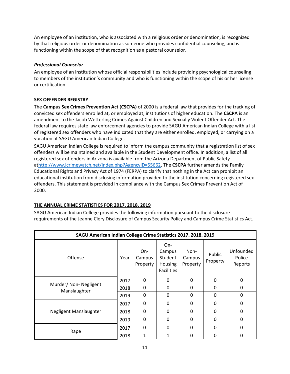An employee of an institution, who is associated with a religious order or denomination, is recognized by that religious order or denomination as someone who provides confidential counseling, and is functioning within the scope of that recognition as a pastoral counselor.

## *Professional Counselor*

An employee of an institution whose official responsibilities include providing psychological counseling to members of the institution's community and who is functioning within the scope of his or her license or certification.

## **SEX OFFENDER REGISTRY**

The **Campus Sex Crimes Prevention Act (CSCPA)** of 2000 is a federal law that provides for the tracking of convicted sex offenders enrolled at, or employed at, institutions of higher education. The **CSCPA** is an amendment to the Jacob Wetterling Crimes Against Children and Sexually Violent Offender Act. The federal law requires state law enforcement agencies to provide SAGU American Indian College with a list of registered sex offenders who have indicated that they are either enrolled, employed, or carrying on a vocation at SAGU American Indian College.

SAGU American Indian College is required to inform the campus community that a registration list of sex offenders will be maintained and available in the Student Development office. In addition, a list of all registered sex offenders in Arizona is available from the Arizona Department of Public Safety a[thttp://www.icrimewatch.net/index.php?AgencyID=55662.](http://www.icrimewatch.net/index.php?AgencyID=55662) The **CSCPA** further amends the Family Educational Rights and Privacy Act of 1974 (FERPA) to clarify that nothing in the Act can prohibit an educational institution from disclosing information provided to the institution concerning registered sex offenders. This statement is provided in compliance with the Campus Sex Crimes Prevention Act of 2000.

# **THE ANNUAL CRIME STATISTICS FOR 2017, 2018, 2019**

SAGU American Indian College provides the following information pursuant to the disclosure requirements of the Jeanne Clery Disclosure of Campus Security Policy and Campus Crime Statistics Act.

| SAGU American Indian College Crime Statistics 2017, 2018, 2019 |      |                           |                                                                 |                            |                    |                                |
|----------------------------------------------------------------|------|---------------------------|-----------------------------------------------------------------|----------------------------|--------------------|--------------------------------|
| Offense                                                        | Year | On-<br>Campus<br>Property | On-<br>Campus<br>Student<br><b>Housing</b><br><b>Facilities</b> | Non-<br>Campus<br>Property | Public<br>Property | Unfounded<br>Police<br>Reports |
| Murder/ Non- Negligent<br>Manslaughter                         | 2017 | $\mathbf{0}$              | 0                                                               | $\Omega$                   | $\Omega$           | 0                              |
|                                                                | 2018 | 0                         | 0                                                               | 0                          | 0                  | 0                              |
|                                                                | 2019 | 0                         | $\Omega$                                                        | $\Omega$                   | $\Omega$           | $\mathbf{0}$                   |
| Negligent Manslaughter                                         | 2017 | $\mathbf{0}$              | 0                                                               | $\mathbf{0}$               | 0                  | 0                              |
|                                                                | 2018 | 0                         | 0                                                               | 0                          | 0                  | 0                              |
|                                                                | 2019 | 0                         | 0                                                               | $\Omega$                   | $\Omega$           | 0                              |
| Rape                                                           | 2017 | 0                         | $\Omega$                                                        | $\Omega$                   | $\Omega$           | $\mathbf{0}$                   |
|                                                                | 2018 | 1                         | 1                                                               | $\Omega$                   | $\Omega$           | 0                              |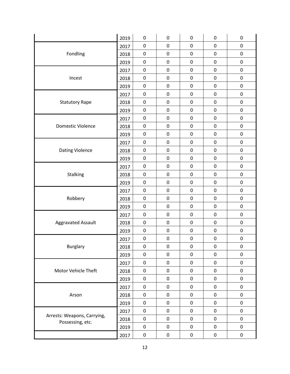|                                                 | 2019 | $\pmb{0}$ | 0           | 0         | $\pmb{0}$        | $\pmb{0}$   |
|-------------------------------------------------|------|-----------|-------------|-----------|------------------|-------------|
| Fondling                                        | 2017 | $\pmb{0}$ | 0           | 0         | 0                | 0           |
|                                                 | 2018 | 0         | 0           | 0         | 0                | 0           |
|                                                 | 2019 | 0         | 0           | 0         | 0                | 0           |
|                                                 | 2017 | $\pmb{0}$ | $\mathbf 0$ | 0         | $\boldsymbol{0}$ | $\pmb{0}$   |
| Incest                                          | 2018 | 0         | $\pmb{0}$   | 0         | $\pmb{0}$        | $\pmb{0}$   |
|                                                 | 2019 | $\pmb{0}$ | $\pmb{0}$   | 0         | $\pmb{0}$        | 0           |
|                                                 | 2017 | $\pmb{0}$ | 0           | 0         | 0                | 0           |
| <b>Statutory Rape</b>                           | 2018 | 0         | 0           | 0         | 0                | 0           |
|                                                 | 2019 | 0         | 0           | 0         | 0                | 0           |
|                                                 | 2017 | $\pmb{0}$ | 0           | 0         | $\pmb{0}$        | 0           |
| <b>Domestic Violence</b>                        | 2018 | $\pmb{0}$ | 0           | 0         | 0                | 0           |
|                                                 | 2019 | $\pmb{0}$ | $\pmb{0}$   | 0         | $\pmb{0}$        | $\pmb{0}$   |
|                                                 | 2017 | $\pmb{0}$ | 0           | 0         | 0                | 0           |
| <b>Dating Violence</b>                          | 2018 | 0         | 0           | 0         | 0                | 0           |
|                                                 | 2019 | 0         | 0           | 0         | $\pmb{0}$        | 0           |
|                                                 | 2017 | $\pmb{0}$ | 0           | 0         | $\boldsymbol{0}$ | $\pmb{0}$   |
| Stalking                                        | 2018 | $\pmb{0}$ | $\pmb{0}$   | 0         | $\pmb{0}$        | $\pmb{0}$   |
|                                                 | 2019 | $\pmb{0}$ | $\pmb{0}$   | 0         | $\boldsymbol{0}$ | 0           |
|                                                 | 2017 | $\pmb{0}$ | 0           | 0         | 0                | 0           |
| Robbery                                         | 2018 | 0         | 0           | 0         | 0                | 0           |
|                                                 | 2019 | 0         | 0           | 0         | 0                | 0           |
|                                                 | 2017 | $\pmb{0}$ | 0           | 0         | $\pmb{0}$        | 0           |
| Aggravated Assault                              | 2018 | $\pmb{0}$ | 0           | 0         | $\pmb{0}$        | $\pmb{0}$   |
|                                                 | 2019 | $\pmb{0}$ | 0           | 0         | $\pmb{0}$        | 0           |
|                                                 | 2017 | 0         | 0           | 0         | 0                | 0           |
| <b>Burglary</b>                                 | 2018 | 0         | 0           | 0         | 0                | 0           |
|                                                 | 2019 | 0         | 0           | 0         | 0                | 0           |
| Motor Vehicle Theft                             | 2017 | 0         | 0           | 0         | $\pmb{0}$        | 0           |
|                                                 | 2018 | $\pmb{0}$ | 0           | 0         | $\pmb{0}$        | 0           |
|                                                 | 2019 | $\pmb{0}$ | 0           | $\pmb{0}$ | $\pmb{0}$        | 0           |
| Arson                                           | 2017 | $\pmb{0}$ | 0           | 0         | $\pmb{0}$        | 0           |
|                                                 | 2018 | 0         | 0           | 0         | $\pmb{0}$        | 0           |
|                                                 | 2019 | $\pmb{0}$ | $\pmb{0}$   | 0         | $\pmb{0}$        | $\mathbf 0$ |
|                                                 | 2017 | $\pmb{0}$ | 0           | 0         | $\mathbf 0$      | 0           |
| Arrests: Weapons, Carrying,<br>Possessing, etc. | 2018 | $\pmb{0}$ | 0           | 0         | $\mathbf 0$      | 0           |
|                                                 | 2019 | $\pmb{0}$ | $\pmb{0}$   | $\pmb{0}$ | $\pmb{0}$        | 0           |
|                                                 | 2017 | $\pmb{0}$ | 0           | 0         | $\pmb{0}$        | 0           |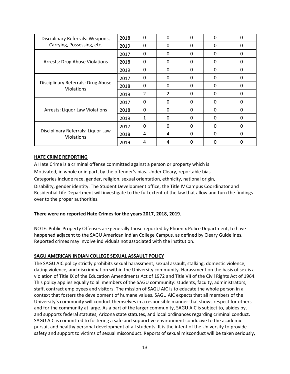| Disciplinary Referrals: Weapons,<br>Carrying, Possessing, etc. | 2018 | $\Omega$                 | 0              | <sup>0</sup> | <sup>0</sup> | 0        |
|----------------------------------------------------------------|------|--------------------------|----------------|--------------|--------------|----------|
|                                                                | 2019 | 0                        | 0              | 0            | 0            | 0        |
| <b>Arrests: Drug Abuse Violations</b>                          | 2017 | 0                        | 0              | 0            | 0            | 0        |
|                                                                | 2018 | 0                        | $\Omega$       | 0            | $\Omega$     | $\Omega$ |
|                                                                | 2019 | 0                        | 0              | 0            | $\Omega$     | 0        |
| Disciplinary Referrals: Drug Abuse<br><b>Violations</b>        | 2017 | $\Omega$                 | 0              | 0            | 0            | 0        |
|                                                                | 2018 | $\Omega$                 | $\Omega$       | 0            | 0            | $\Omega$ |
|                                                                | 2019 | $\overline{\mathcal{L}}$ | $\overline{2}$ | 0            | $\Omega$     | $\Omega$ |
| <b>Arrests: Liquor Law Violations</b>                          | 2017 | 0                        | 0              | 0            | 0            | 0        |
|                                                                | 2018 | $\Omega$                 | $\Omega$       | $\Omega$     | $\Omega$     | $\Omega$ |
|                                                                | 2019 | 1                        | 0              | 0            | $\Omega$     | $\Omega$ |
| Disciplinary Referrals: Liquor Law<br><b>Violations</b>        | 2017 | 0                        | 0              | 0            | 0            | 0        |
|                                                                | 2018 | 4                        | 4              | $\Omega$     | <sup>0</sup> | $\Omega$ |
|                                                                | 2019 | 4                        | 4              | O            | O            | 0        |

## **HATE CRIME REPORTING**

A Hate Crime is a criminal offense committed against a person or property which is Motivated, in whole or in part, by the offender's bias. Under Cleary, reportable bias Categories include race, gender, religion, sexual orientation, ethnicity, national origin, Disability, gender identity. The Student Development office, the Title IV Campus Coordinator and Residential Life Department will investigate to the full extent of the law that allow and turn the findings over to the proper authorities.

#### **There were no reported Hate Crimes for the years 2017, 2018, 2019.**

NOTE: Public Property Offenses are generally those reported by Phoenix Police Department, to have happened adjacent to the SAGU American Indian College Campus, as defined by Cleary Guidelines. Reported crimes may involve individuals not associated with the institution.

#### **SAGU AMERICAN INDIAN COLLEGE SEXUAL ASSAULT POLICY**

The SAGU AIC policy strictly prohibits sexual harassment, sexual assault, stalking, domestic violence, dating violence, and discrimination within the University community. Harassment on the basis of sex is a violation of Title IX of the Education Amendments Act of 1972 and Title VII of the Civil Rights Act of 1964. This policy applies equally to all members of the SAGU community: students, faculty, administrators, staff, contract employees and visitors. The mission of SAGU AIC is to educate the whole person in a context that fosters the development of humane values. SAGU AIC expects that all members of the University's community will conduct themselves in a responsible manner that shows respect for others and for the community at large. As a part of the larger community, SAGU AIC is subject to, abides by, and supports federal statutes, Arizona state statutes, and local ordinances regarding criminal conduct. SAGU AIC is committed to fostering a safe and supportive environment conducive to the academic pursuit and healthy personal development of all students. It is the intent of the University to provide safety and support to victims of sexual misconduct. Reports of sexual misconduct will be taken seriously,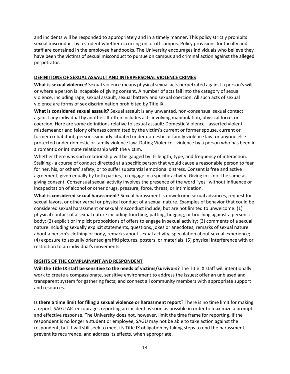and incidents will be responded to appropriately and in a timely manner. This policy strictly prohibits sexual misconduct by a student whether occurring on or off campus. Policy provisions for faculty and staff are contained in the employee handbooks. The University encourages individuals who believe they have been the victims of sexual misconduct to pursue on campus and criminal action against the alleged perpetrator.

#### **DEFINITIONS OF SEXUAL ASSAULT AND INTERPERSONAL VIOLENCE CRIMES**

**What is sexual violence?** Sexual violence means physical sexual acts perpetrated against a person's will or where a person is incapable of giving consent. A number of acts fall into the category of sexual violence, including rape, sexual assault, sexual battery and sexual coercion. All such acts of sexual violence are forms of sex discrimination prohibited by Title IX.

**What is considered sexual assault?** Sexual assault is any unwanted, non-consensual sexual contact against any individual by another. It often includes acts involving manipulation, physical force, or coercion. Here are some definitions relative to sexual assault: Domestic Violence - asserted violent misdemeanor and felony offenses committed by the victim's current or former spouse, current or former co-habitant, persons similarly situated under domestic or family violence law, or anyone else protected under domestic or family violence law. Dating Violence - violence by a person who has been in a romantic or intimate relationship with the victim.

Whether there was such relationship will be gauged by its length, type, and frequency of interaction. Stalking - a course of conduct directed at a specific person that would cause a reasonable person to fear for her, his, or others' safety, or to suffer substantial emotional distress. Consent is free and active agreement, given equally by both parties, to engage in a specific activity. Giving in is not the same as giving consent. Consensual sexual activity involves the presence of the word "yes" without influence or incapacitation of alcohol or other drugs, pressure, force, threat, or intimidation.

**What is considered sexual harassment?** Sexual harassment is unwelcome sexual advances, request for sexual favors, or other verbal or physical conduct of a sexual nature. Examples of behavior that could be considered sexual harassment or sexual misconduct include, but are not limited to unwelcome: (1) physical contact of a sexual nature including touching, patting, hugging, or brushing against a person's body; (2) explicit or implicit propositions of offers to engage in sexual activity; (3) comments of a sexual nature including sexually explicit statements, questions, jokes or anecdotes, remarks of sexual nature about a person's clothing or body, remarks about sexual activity, speculation about sexual experience; (4) exposure to sexually oriented graffiti pictures, posters, or materials; (5) physical interference with or restriction to an individual's movements.

## **RIGHTS OF THE COMPLAINANT AND RESPONDENT**

**Will the Title IX staff be sensitive to the needs of victims/survivors?** The Title IX staff will intentionally work to create a compassionate, sensitive environment to address the issues; offer an unbiased and transparent system for gathering facts; and connect all community members with appropriate support and resources.

**Is there a time limit for filing a sexual violence or harassment report**? There is no time limit for making a report. SAGU AIC encourages reporting an incident as soon as possible in order to maximize a prompt and effective response. The University does not, however, limit the time frame for reporting. If the respondent is no longer a student or employee, SAGU may not be able to take action against the respondent, but it will still seek to meet its Title IX obligation by taking steps to end the harassment, prevent its recurrence, and address its effects, when appropriate.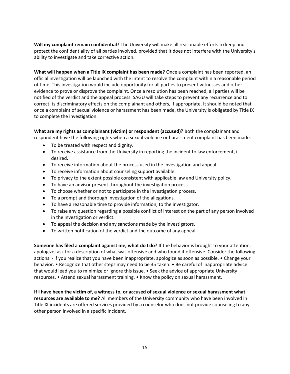**Will my complaint remain confidential?** The University will make all reasonable efforts to keep and protect the confidentiality of all parties involved, provided that it does not interfere with the University's ability to investigate and take corrective action.

**What will happen when a Title IX complaint has been made?** Once a complaint has been reported, an official investigation will be launched with the intent to resolve the complaint within a reasonable period of time. This investigation would include opportunity for all parties to present witnesses and other evidence to prove or disprove the complaint. Once a resolution has been reached, all parties will be notified of the verdict and the appeal process. SAGU will take steps to prevent any recurrence and to correct its discriminatory effects on the complainant and others, if appropriate. It should be noted that once a complaint of sexual violence or harassment has been made, the University is obligated by Title IX to complete the investigation.

**What are my rights as complainant (victim) or respondent (accused)?** Both the complainant and respondent have the following rights when a sexual violence or harassment complaint has been made:

- To be treated with respect and dignity.
- To receive assistance from the University in reporting the incident to law enforcement, if desired.
- To receive information about the process used in the investigation and appeal.
- To receive information about counseling support available.
- To privacy to the extent possible consistent with applicable law and University policy.
- To have an advisor present throughout the investigation process.
- To choose whether or not to participate in the investigation process.
- To a prompt and thorough investigation of the allegations.
- To have a reasonable time to provide information, to the investigator.
- To raise any question regarding a possible conflict of interest on the part of any person involved in the investigation or verdict.
- To appeal the decision and any sanctions made by the investigators.
- To written notification of the verdict and the outcome of any appeal.

**Someone has filed a complaint against me, what do I do?** If the behavior is brought to your attention, apologize; ask for a description of what was offensive and who found it offensive. Consider the following actions: · If you realize that you have been inappropriate, apologize as soon as possible. • Change your behavior. • Recognize that other steps may need to be 35 taken. • Be careful of inappropriate advice that would lead you to minimize or ignore this issue. • Seek the advice of appropriate University resources. • Attend sexual harassment training. • Know the policy on sexual harassment.

**If I have been the victim of, a witness to, or accused of sexual violence or sexual harassment what resources are available to me?** All members of the University community who have been involved in Title IX incidents are offered services provided by a counselor who does not provide counseling to any other person involved in a specific incident.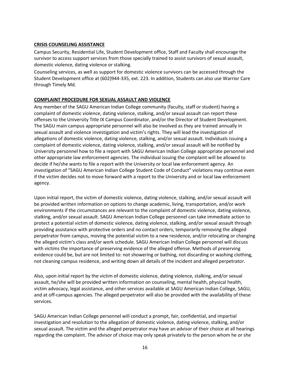## **CRISIS COUNSELING ASSISTANCE**

Campus Security, Residential Life, Student Development office, Staff and Faculty shall encourage the survivor to access support services from those specially trained to assist survivors of sexual assault, domestic violence, dating violence or stalking.

Counseling services, as well as support for domestic violence survivors can be accessed through the Student Development office at (602)944-335, ext. 223. In addition, Students can also use Warrior Care through Timely Md.

## **COMPLAINT PROCEDURE FOR SEXUAL ASSAULT AND VIOLENCE**

Any member of the SAGU American Indian College community (faculty, staff or student) having a complaint of domestic violence, dating violence, stalking, and/or sexual assault can report these offenses to the University Title IX Campus Coordinator, and/or the Director of Student Development. The SAGU main campus appropriate personnel will also be involved as they are trained annually in sexual assault and violence investigation and victim's rights. They will lead the investigation of allegations of domestic violence, dating violence, stalking, and/or sexual assault. Individuals issuing a complaint of domestic violence, dating violence, stalking, and/or sexual assault will be notified by University personnel how to file a report with SAGU American Indian College appropriate personnel and other appropriate law enforcement agencies. The individual issuing the complaint will be allowed to decide if he/she wants to file a report with the University or local law enforcement agency. An investigation of "SAGU American Indian College Student Code of Conduct" violations may continue even if the victim decides not to move forward with a report to the University and or local law enforcement agency.

Upon initial report, the victim of domestic violence, dating violence, stalking, and/or sexual assault will be provided written information on options to change academic, living, transportation, and/or work environments if the circumstances are relevant to the complaint of domestic violence, dating violence, stalking, and/or sexual assault. SAGU American Indian College personnel can take immediate action to protect a potential victim of domestic violence, dating violence, stalking, and/or sexual assault through providing assistance with protective orders and no contact orders, temporarily removing the alleged perpetrator from campus, moving the potential victim to a new residence, and/or relocating or changing the alleged victim's class and/or work schedule. SAGU American Indian College personnel will discuss with victims the importance of preserving evidence of the alleged offense. Methods of preserving evidence could be, but are not limited to: not showering or bathing, not discarding or washing clothing, not cleaning campus residence, and writing down all details of the incident and alleged perpetrator.

Also, upon initial report by the victim of domestic violence, dating violence, stalking, and/or sexual assault, he/she will be provided written information on counseling, mental health, physical health, victim advocacy, legal assistance, and other services available at SAGU American Indian College, SAGU, and at off-campus agencies. The alleged perpetrator will also be provided with the availability of these services.

SAGU American Indian College personnel will conduct a prompt, fair, confidential, and impartial investigation and resolution to the allegation of domestic violence, dating violence, stalking, and/or sexual assault. The victim and the alleged perpetrator may have an advisor of their choice at all hearings regarding the complaint. The advisor of choice may only speak privately to the person whom he or she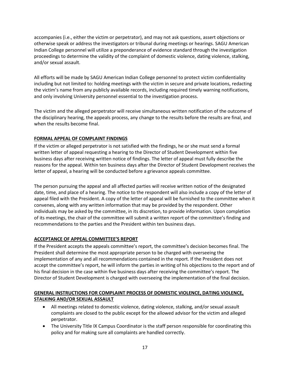accompanies (i.e., either the victim or perpetrator), and may not ask questions, assert objections or otherwise speak or address the investigators or tribunal during meetings or hearings. SAGU American Indian College personnel will utilize a preponderance of evidence standard through the investigation proceedings to determine the validity of the complaint of domestic violence, dating violence, stalking, and/or sexual assault.

All efforts will be made by SAGU American Indian College personnel to protect victim confidentiality including but not limited to: holding meetings with the victim in secure and private locations, redacting the victim's name from any publicly available records, including required timely warning notifications, and only involving University personnel essential to the investigation process.

The victim and the alleged perpetrator will receive simultaneous written notification of the outcome of the disciplinary hearing, the appeals process, any change to the results before the results are final, and when the results become final.

# **FORMAL APPEAL OF COMPLAINT FINDINGS**

If the victim or alleged perpetrator is not satisfied with the findings, he or she must send a formal written letter of appeal requesting a hearing to the Director of Student Development within five business days after receiving written notice of findings. The letter of appeal must fully describe the reasons for the appeal. Within ten business days after the Director of Student Development receives the letter of appeal, a hearing will be conducted before a grievance appeals committee.

The person pursuing the appeal and all affected parties will receive written notice of the designated date, time, and place of a hearing. The notice to the respondent will also include a copy of the letter of appeal filed with the President. A copy of the letter of appeal will be furnished to the committee when it convenes, along with any written information that may be provided by the respondent. Other individuals may be asked by the committee, in its discretion, to provide information. Upon completion of its meetings, the chair of the committee will submit a written report of the committee's finding and recommendations to the parties and the President within ten business days.

# **ACCEPTANCE OF APPEAL COMMITTEE'S REPORT**

If the President accepts the appeals committee's report, the committee's decision becomes final. The President shall determine the most appropriate person to be charged with overseeing the implementation of any and all recommendations contained in the report. If the President does not accept the committee's report, he will inform the parties in writing of his objections to the report and of his final decision in the case within five business days after receiving the committee's report. The Director of Student Development is charged with overseeing the implementation of the final decision.

# **GENERAL INSTRUCTIONS FOR COMPLAINT PROCESS OF DOMESTIC VIOLENCE, DATING VIOLENCE, STALKING AND/OR SEXUAL ASSAULT**

- All meetings related to domestic violence, dating violence, stalking, and/or sexual assault complaints are closed to the public except for the allowed advisor for the victim and alleged perpetrator.
- The University Title IX Campus Coordinator is the staff person responsible for coordinating this policy and for making sure all complaints are handled correctly.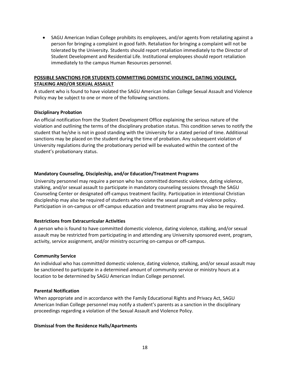• SAGU American Indian College prohibits its employees, and/or agents from retaliating against a person for bringing a complaint in good faith. Retaliation for bringing a complaint will not be tolerated by the University. Students should report retaliation immediately to the Director of Student Development and Residential Life. Institutional employees should report retaliation immediately to the campus Human Resources personnel.

## **POSSIBLE SANCTIONS FOR STUDENTS COMMITTING DOMESTIC VIOLENCE, DATING VIOLENCE, STALKING AND/OR SEXUAL ASSAULT**

A student who is found to have violated the SAGU American Indian College Sexual Assault and Violence Policy may be subject to one or more of the following sanctions.

## **Disciplinary Probation**

An official notification from the Student Development Office explaining the serious nature of the violation and outlining the terms of the disciplinary probation status. This condition serves to notify the student that he/she is not in good standing with the University for a stated period of time. Additional sanctions may be placed on the student during the time of probation. Any subsequent violation of University regulations during the probationary period will be evaluated within the context of the student's probationary status.

## **Mandatory Counseling, Discipleship, and/or Education/Treatment Programs**

University personnel may require a person who has committed domestic violence, dating violence, stalking, and/or sexual assault to participate in mandatory counseling sessions through the SAGU Counseling Center or designated off-campus treatment facility. Participation in intentional Christian discipleship may also be required of students who violate the sexual assault and violence policy. Participation in on-campus or off-campus education and treatment programs may also be required.

## **Restrictions from Extracurricular Activities**

A person who is found to have committed domestic violence, dating violence, stalking, and/or sexual assault may be restricted from participating in and attending any University sponsored event, program, activity, service assignment, and/or ministry occurring on-campus or off-campus.

## **Community Service**

An individual who has committed domestic violence, dating violence, stalking, and/or sexual assault may be sanctioned to participate in a determined amount of community service or ministry hours at a location to be determined by SAGU American Indian College personnel.

## **Parental Notification**

When appropriate and in accordance with the Family Educational Rights and Privacy Act, SAGU American Indian College personnel may notify a student's parents as a sanction in the disciplinary proceedings regarding a violation of the Sexual Assault and Violence Policy.

## **Dismissal from the Residence Halls/Apartments**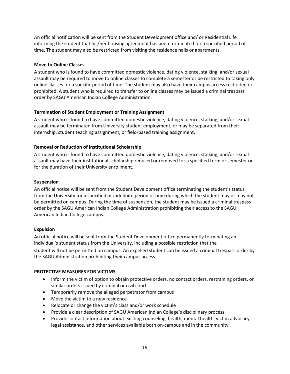An official notification will be sent from the Student Development office and/ or Residential Life informing the student that his/her housing agreement has been terminated for a specified period of time. The student may also be restricted from visiting the residence halls or apartments.

## **Move to Online Classes**

A student who is found to have committed domestic violence, dating violence, stalking, and/or sexual assault may be required to move to online classes to complete a semester or be restricted to taking only online classes for a specific period of time. The student may also have their campus access restricted or prohibited. A student who is required to transfer to online classes may be issued a criminal trespass order by SAGU American Indian College Administration.

## **Termination of Student Employment or Training Assignment**

A student who is found to have committed domestic violence, dating violence, stalking, and/or sexual assault may be terminated from University student employment, or may be separated from their internship, student teaching assignment, or field-based training assignment.

## **Removal or Reduction of Institutional Scholarship**

A student who is found to have committed domestic violence, dating violence, stalking, and/or sexual assault may have their institutional scholarship reduced or removed for a specified term or semester or for the duration of their University enrollment.

## **Suspension**

An official notice will be sent from the Student Development office terminating the student's status from the University for a specified or indefinite period of time during which the student may or may not be permitted on campus. During the time of suspension, the student may be issued a criminal trespass order by the SAGU American Indian College Administration prohibiting their access to the SAGU American Indian College campus.

## **Expulsion**

An official notice will be sent from the Student Development office permanently terminating an individual's student status from the University, including a possible restriction that the student will not be permitted on campus. An expelled student can be issued a criminal trespass order by the SAGU Administration prohibiting their campus access.

## **PROTECTIVE MEASURES FOR VICTIMS**

- Inform the victim of option to obtain protective orders, no contact orders, restraining orders, or similar orders issued by criminal or civil court
- Temporarily remove the alleged perpetrator from campus
- Move the victim to a new residence
- Relocate or change the victim's class and/or work schedule
- Provide a clear description of SAGU American Indian College's disciplinary process
- Provide contact information about existing counseling, health, mental health, victim advocacy, legal assistance, and other services available both on-campus and in the community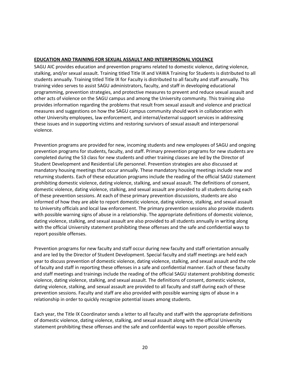## **EDUCATION AND TRAINING FOR SEXUAL ASSAULT AND INTERPERSONAL VIOLENCE**

SAGU AIC provides education and prevention programs related to domestic violence, dating violence, stalking, and/or sexual assault. Training titled Title IX and VAWA Training for Students is distributed to all students annually. Training titled Title IX for Faculty is distributed to all faculty and staff annually. This training video serves to assist SAGU administrators, faculty, and staff in developing educational programming, prevention strategies, and protective measures to prevent and reduce sexual assault and other acts of violence on the SAGU campus and among the University community. This training also provides information regarding the problems that result from sexual assault and violence and practical measures and suggestions on how the SAGU campus community should work in collaboration with other University employees, law enforcement, and internal/external support services in addressing these issues and in supporting victims and restoring survivors of sexual assault and interpersonal violence.

Prevention programs are provided for new, incoming students and new employees of SAGU and ongoing prevention programs for students, faculty, and staff. Primary prevention programs for new students are completed during the S3 class for new students and other training classes are led by the Director of Student Development and Residential Life personnel. Prevention strategies are also discussed at mandatory housing meetings that occur annually. These mandatory housing meetings include new and returning students. Each of these education programs include the reading of the official SAGU statement prohibiting domestic violence, dating violence, stalking, and sexual assault. The definitions of consent, domestic violence, dating violence, stalking, and sexual assault are provided to all students during each of these prevention sessions. At each of these primary prevention discussions, students are also informed of how they are able to report domestic violence, dating violence, stalking, and sexual assault to University officials and local law enforcement. The primary prevention sessions also provide students with possible warning signs of abuse in a relationship. The appropriate definitions of domestic violence, dating violence, stalking, and sexual assault are also provided to all students annually in writing along with the official University statement prohibiting these offenses and the safe and confidential ways to report possible offenses.

Prevention programs for new faculty and staff occur during new faculty and staff orientation annually and are led by the Director of Student Development. Special faculty and staff meetings are held each year to discuss prevention of domestic violence, dating violence, stalking, and sexual assault and the role of faculty and staff in reporting these offenses in a safe and confidential manner. Each of these faculty and staff meetings and trainings include the reading of the official SAGU statement prohibiting domestic violence, dating violence, stalking, and sexual assault. The definitions of consent, domestic violence, dating violence, stalking, and sexual assault are provided to all faculty and staff during each of these prevention sessions. Faculty and staff are also provided with possible warning signs of abuse in a relationship in order to quickly recognize potential issues among students.

Each year, the Title IX Coordinator sends a letter to all faculty and staff with the appropriate definitions of domestic violence, dating violence, stalking, and sexual assault along with the official University statement prohibiting these offenses and the safe and confidential ways to report possible offenses.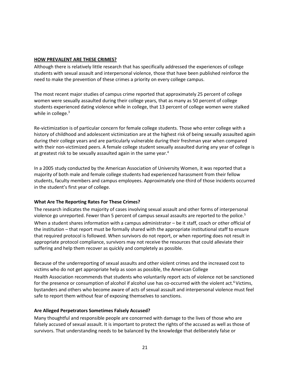## **HOW PREVALENT ARE THESE CRIMES?**

Although there is relatively little research that has specifically addressed the experiences of college students with sexual assault and interpersonal violence, those that have been published reinforce the need to make the prevention of these crimes a priority on every college campus.

The most recent major studies of campus crime reported that approximately 25 percent of college women were sexually assaulted during their college years, that as many as 50 percent of college students experienced dating violence while in college, that 13 percent of college women were stalked while in college.<sup>3</sup>

Re-victimization is of particular concern for female college students. Those who enter college with a history of childhood and adolescent victimization are at the highest risk of being sexually assaulted again during their college years and are particularly vulnerable during their freshman year when compared with their non-victimized peers. A female college student sexually assaulted during any year of college is at greatest risk to be sexually assaulted again in the same year.<sup>4</sup>

In a 2005 study conducted by the American Association of University Women, it was reported that a majority of both male and female college students had experienced harassment from their fellow students, faculty members and campus employees. Approximately one-third of those incidents occurred in the student's first year of college.

# **What Are The Reporting Rates For These Crimes?**

The research indicates the majority of cases involving sexual assault and other forms of interpersonal violence go unreported. Fewer than 5 percent of campus sexual assaults are reported to the police.<sup>5</sup> When a student shares information with a campus administrator – be it staff, coach or other official of the institution – that report must be formally shared with the appropriate institutional staff to ensure that required protocol is followed. When survivors do not report, or when reporting does not result in appropriate protocol compliance, survivors may not receive the resources that could alleviate their suffering and help them recover as quickly and completely as possible.

Because of the underreporting of sexual assaults and other violent crimes and the increased cost to victims who do not get appropriate help as soon as possible, the American College Health Association recommends that students who voluntarily report acts of violence not be sanctioned

for the presence or consumption of alcohol if alcohol use has co-occurred with the violent act.<sup>6</sup>Victims, bystanders and others who become aware of acts of sexual assault and interpersonal violence must feel safe to report them without fear of exposing themselves to sanctions.

# **Are Alleged Perpetrators Sometimes Falsely Accused?**

Many thoughtful and responsible people are concerned with damage to the lives of those who are falsely accused of sexual assault. It is important to protect the rights of the accused as well as those of survivors. That understanding needs to be balanced by the knowledge that deliberately false or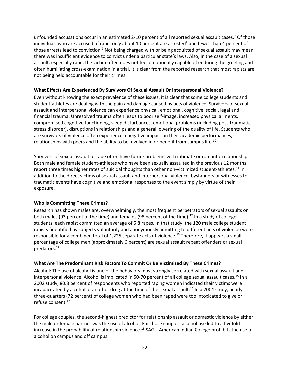unfounded accusations occur in an estimated 2-10 percent of all reported sexual assault cases.<sup>7</sup> Of those individuals who are accused of rape, only about 10 percent are arrested $8$  and fewer than 4 percent of those arrests lead to conviction.<sup>9</sup> Not being charged with or being acquitted of sexual assault may mean there was insufficient evidence to convict under a particular state's laws. Also, in the case of a sexual assault, especially rape, the victim often does not feel emotionally capable of enduring the grueling and often humiliating cross-examination in a trial. It is clear from the reported research that most rapists are not being held accountable for their crimes.

## **What Effects Are Experienced By Survivors Of Sexual Assault Or Interpersonal Violence?**

Even without knowing the exact prevalence of these issues, it is clear that some college students and student-athletes are dealing with the pain and damage caused by acts of violence. Survivors of sexual assault and interpersonal violence can experience physical, emotional, cognitive, social, legal and financial trauma. Unresolved trauma often leads to poor self-image, increased physical ailments, compromised cognitive functioning, sleep disturbances, emotional problems (including post-traumatic stress disorder), disruptions in relationships and a general lowering of the quality of life. Students who are survivors of violence often experience a negative impact on their academic performances, relationships with peers and the ability to be involved in or benefit from campus life.<sup>10</sup>

Survivors of sexual assault or rape often have future problems with intimate or romantic relationships. Both male and female student-athletes who have been sexually assaulted in the previous 12 months report three times higher rates of suicidal thoughts than other non-victimized student-athletes.<sup>11</sup> In addition to the direct victims of sexual assault and interpersonal violence, bystanders or witnesses to traumatic events have cognitive and emotional responses to the event simply by virtue of their exposure.

# **Who Is Committing These Crimes?**

Research has shown males are, overwhelmingly, the most frequent perpetrators of sexual assaults on both males (93 percent of the time) and females (98 percent of the time).<sup>12</sup> In a study of college students, each rapist committed an average of 5.8 rapes. In that study, the 120 male college student rapists (identified by subjects voluntarily and anonymously admitting to different acts of violence) were responsible for a combined total of 1,225 separate acts of violence.<sup>13</sup> Therefore, it appears a small percentage of college men (approximately 6 percent) are sexual assault repeat offenders or sexual predators.<sup>14</sup>

# **What Are The Predominant Risk Factors To Commit Or Be Victimized By These Crimes?**

Alcohol: The use of alcohol is one of the behaviors most strongly correlated with sexual assault and interpersonal violence. Alcohol is implicated in 50-70 percent of all college sexual assault cases.<sup>15</sup> In a 2002 study, 80.8 percent of respondents who reported raping women indicated their victims were incapacitated by alcohol or another drug at the time of the sexual assault.<sup>16</sup> In a 2004 study, nearly three-quarters (72 percent) of college women who had been raped were too intoxicated to give or refuse consent.<sup>17</sup>

For college couples, the second-highest predictor for relationship assault or domestic violence by either the male or female partner was the use of alcohol. For those couples, alcohol use led to a fivefold increase in the probability of relationship violence.<sup>18</sup> SAGU American Indian College prohibits the use of alcohol on campus and off campus.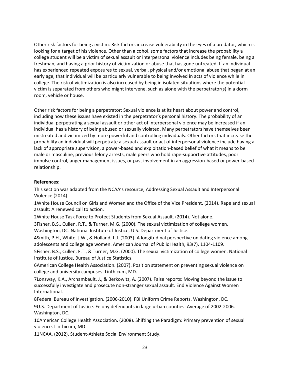Other risk factors for being a victim: Risk factors increase vulnerability in the eyes of a predator, which is looking for a target of his violence. Other than alcohol, some factors that increase the probability a college student will be a victim of sexual assault or interpersonal violence includes being female, being a freshman, and having a prior history of victimization or abuse that has gone untreated. If an individual has experienced repeated exposures to sexual, verbal, physical and/or emotional abuse that began at an early age, that individual will be particularly vulnerable to being involved in acts of violence while in college. The risk of victimization is also increased by being in isolated situations where the potential victim is separated from others who might intervene, such as alone with the perpetrator(s) in a dorm room, vehicle or house.

Other risk factors for being a perpetrator: Sexual violence is at its heart about power and control, including how these issues have existed in the perpetrator's personal history. The probability of an individual perpetrating a sexual assault or other act of interpersonal violence may be increased if an individual has a history of being abused or sexually violated. Many perpetrators have themselves been mistreated and victimized by more powerful and controlling individuals. Other factors that increase the probability an individual will perpetrate a sexual assault or act of interpersonal violence include having a lack of appropriate supervision, a power-based and exploitation-based belief of what it means to be male or masculine, previous felony arrests, male peers who hold rape-supportive attitudes, poor impulse control, anger management issues, or past involvement in an aggression-based or power-based relationship.

## **References:**

This section was adapted from the NCAA's resource, Addressing Sexual Assault and Interpersonal Violence (2014)

1White House Council on Girls and Women and the Office of the Vice President. (2014). Rape and sexual assault: A renewed call to action.

2White House Task Force to Protect Students from Sexual Assault. (2014). Not alone.

3Fisher, B.S., Cullen, R.T., & Turner, M.G. (2000). The sexual victimization of college women. Washington, DC: National Institute of Justice, U.S. Department of Justice.

4Smith, P.H., White, J.W., & Holland, L.J. (2003). A longitudinal perspective on dating violence among adolescents and college age women. American Journal of Public Health, 93(7), 1104-1109.

5Fisher, B.S., Cullen, F.T., & Turner, M.G. (2000). The sexual victimization of college women. National Institute of Justice, Bureau of Justice Statistics.

6American College Health Association. (2007). Position statement on preventing sexual violence on college and university campuses. Linthicum, MD.

7Lonsway, K.A., Archambault, J., & Berkowitz, A. (2007). False reports: Moving beyond the issue to successfully investigate and prosecute non-stranger sexual assault. End Violence Against Women International.

8Federal Bureau of Investigation. (2006-2010). FBI Uniform Crime Reports. Washington, DC.

9U.S. Department of Justice. Felony defendants in large urban counties: Average of 2002-2006. Washington, DC.

10American College Health Association. (2008). Shifting the Paradigm: Primary prevention of sexual violence. Linthicum, MD.

11NCAA. (2012). Student-Athlete Social Environment Study.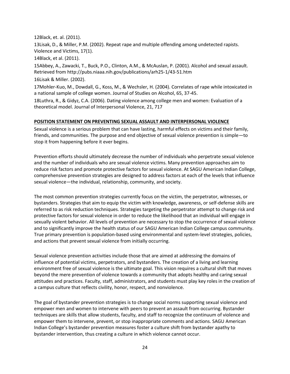12Black, et. al. (2011).

13Lisak, D., & Miller, P.M. (2002). Repeat rape and multiple offending among undetected rapists. Violence and Victims, 17(1).

14Black, et al. (2011).

15Abbey, A., Zawacki, T., Buck, P.O., Clinton, A.M., & McAuslan, P. (2001). Alcohol and sexual assault. Retrieved from http://pubs.niaaa.nih.gov/publications/arh25-1/43-51.htm 16Lisak & Miller. (2002).

17Mohler-Kuo, M., Dowdall, G., Koss, M., & Wechsler, H. (2004). Correlates of rape while intoxicated in a national sample of college women. Journal of Studies on Alcohol, 65, 37-45.

18Luthra, R., & Gidyz, C.A. (2006). Dating violence among college men and women: Evaluation of a theoretical model. Journal of Interpersonal Violence, 21, 717

## **POSITION STATEMENT ON PREVENTING SEXUAL ASSAULT AND INTERPERSONAL VIOLENCE**

Sexual violence is a serious problem that can have lasting, harmful effects on victims and their family, friends, and communities. The purpose and end objective of sexual violence prevention is simple—to stop it from happening before it ever begins.

Prevention efforts should ultimately decrease the number of individuals who perpetrate sexual violence and the number of individuals who are sexual violence victims. Many prevention approaches aim to reduce risk factors and promote protective factors for sexual violence. At SAGU American Indian College, comprehensive prevention strategies are designed to address factors at each of the levels that influence sexual violence—the individual, relationship, community, and society.

The most common prevention strategies currently focus on the victim, the perpetrator, witnesses, or bystanders. Strategies that aim to equip the victim with knowledge, awareness, or self-defense skills are referred to as risk reduction techniques. Strategies targeting the perpetrator attempt to change risk and protective factors for sexual violence in order to reduce the likelihood that an individual will engage in sexually violent behavior. All levels of prevention are necessary to stop the occurrence of sexual violence and to significantly improve the health status of our SAGU American Indian College campus community. True primary prevention is population-based using environmental and system-level strategies, policies, and actions that prevent sexual violence from initially occurring.

Sexual violence prevention activities include those that are aimed at addressing the domains of influence of potential victims, perpetrators, and bystanders. The creation of a living and learning environment free of sexual violence is the ultimate goal. This vision requires a cultural shift that moves beyond the mere prevention of violence towards a community that adopts healthy and caring sexual attitudes and practices. Faculty, staff, administrators, and students must play key roles in the creation of a campus culture that reflects civility, honor, respect, and nonviolence.

The goal of bystander prevention strategies is to change social norms supporting sexual violence and empower men and women to intervene with peers to prevent an assault from occurring. Bystander techniques are skills that allow students, faculty, and staff to recognize the continuum of violence and empower them to intervene, prevent, or stop inappropriate comments and actions. SAGU American Indian College's bystander prevention measures foster a culture shift from bystander apathy to bystander intervention, thus creating a culture in which violence cannot occur.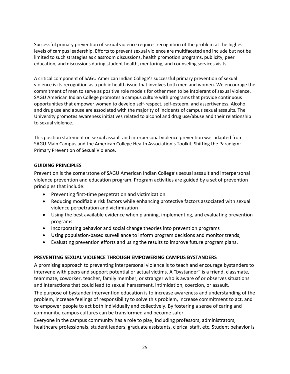Successful primary prevention of sexual violence requires recognition of the problem at the highest levels of campus leadership. Efforts to prevent sexual violence are multifaceted and include but not be limited to such strategies as classroom discussions, health promotion programs, publicity, peer education, and discussions during student health, mentoring, and counseling services visits.

A critical component of SAGU American Indian College's successful primary prevention of sexual violence is its recognition as a public health issue that involves both men and women. We encourage the commitment of men to serve as positive role models for other men to be intolerant of sexual violence. SAGU American Indian College promotes a campus culture with programs that provide continuous opportunities that empower women to develop self-respect, self-esteem, and assertiveness. Alcohol and drug use and abuse are associated with the majority of incidents of campus sexual assaults. The University promotes awareness initiatives related to alcohol and drug use/abuse and their relationship to sexual violence.

This position statement on sexual assault and interpersonal violence prevention was adapted from SAGU Main Campus and the American College Health Association's Toolkit, Shifting the Paradigm: Primary Prevention of Sexual Violence.

# **GUIDING PRINCIPLES**

Prevention is the cornerstone of SAGU American Indian College's sexual assault and interpersonal violence prevention and education program. Program activities are guided by a set of prevention principles that include:

- Preventing first-time perpetration and victimization
- Reducing modifiable risk factors while enhancing protective factors associated with sexual violence perpetration and victimization
- Using the best available evidence when planning, implementing, and evaluating prevention programs
- Incorporating behavior and social change theories into prevention programs
- Using population-based surveillance to inform program decisions and monitor trends;
- Evaluating prevention efforts and using the results to improve future program plans.

## **PREVENTING SEXUAL VIOLENCE THROUGH EMPOWERING CAMPUS BYSTANDERS**

A promising approach to preventing interpersonal violence is to teach and encourage bystanders to intervene with peers and support potential or actual victims. A "bystander" is a friend, classmate, teammate, coworker, teacher, family member, or stranger who is aware of or observes situations and interactions that could lead to sexual harassment, intimidation, coercion, or assault.

The purpose of bystander intervention education is to increase awareness and understanding of the problem, increase feelings of responsibility to solve this problem, increase commitment to act, and to empower people to act both individually and collectively. By fostering a sense of caring and community, campus cultures can be transformed and become safer.

Everyone in the campus community has a role to play, including professors, administrators, healthcare professionals, student leaders, graduate assistants, clerical staff, etc. Student behavior is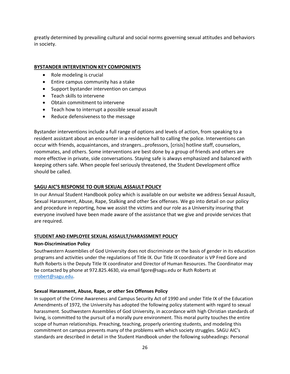greatly determined by prevailing cultural and social norms governing sexual attitudes and behaviors in society.

## **BYSTANDER INTERVENTION KEY COMPONENTS**

- Role modeling is crucial
- Entire campus community has a stake
- Support bystander intervention on campus
- Teach skills to intervene
- Obtain commitment to intervene
- Teach how to interrupt a possible sexual assault
- Reduce defensiveness to the message

Bystander interventions include a full range of options and levels of action, from speaking to a resident assistant about an encounter in a residence hall to calling the police. Interventions can occur with friends, acquaintances, and strangers…professors, [crisis] hotline staff, counselors, roommates, and others. Some interventions are best done by a group of friends and others are more effective in private, side conversations. Staying safe is always emphasized and balanced with keeping others safe. When people feel seriously threatened, the Student Development office should be called.

## **SAGU AIC'S RESPONSE TO OUR SEXUAL ASSAULT POLICY**

In our Annual Student Handbook policy which is available on our website we address Sexual Assault, Sexual Harassment, Abuse, Rape, Stalking and other Sex offenses. We go into detail on our policy and procedure in reporting, how we assist the victims and our role as a University insuring that everyone involved have been made aware of the assistance that we give and provide services that are required.

## **STUDENT AND EMPLOYEE SEXUAL ASSAULT/HARASSMENT POLICY**

## **Non-Discrimination Policy**

Southwestern Assemblies of God University does not discriminate on the basis of gender in its education programs and activities under the regulations of Title IX. Our Title IX coordinator is VP Fred Gore and Ruth Roberts is the Deputy Title IX coordinator and Director of Human Resources. The Coordinator may be contacted by phone at 972.825.4630, via email fgore@sagu.edu or Ruth Roberts at [rrobert@sagu.edu.](mailto:rrobert@sagu.edu)

## **Sexual Harassment, Abuse, Rape, or other Sex Offenses Policy**

In support of the Crime Awareness and Campus Security Act of 1990 and under Title IX of the Education Amendments of 1972, the University has adopted the following policy statement with regard to sexual harassment. Southwestern Assemblies of God University, in accordance with high Christian standards of living, is committed to the pursuit of a morally pure environment. This moral purity touches the entire scope of human relationships. Preaching, teaching, properly orienting students, and modeling this commitment on campus prevents many of the problems with which society struggles. SAGU AIC's standards are described in detail in the Student Handbook under the following subheadings: Personal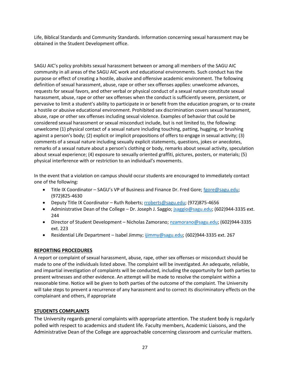Life, Biblical Standards and Community Standards. Information concerning sexual harassment may be obtained in the Student Development office.

SAGU AIC's policy prohibits sexual harassment between or among all members of the SAGU AIC community in all areas of the SAGU AIC work and educational environments. Such conduct has the purpose or effect of creating a hostile, abusive and offensive academic environment. The following definition of sexual harassment, abuse, rape or other sex offenses applies: unwelcome advances, requests for sexual favors, and other verbal or physical conduct of a sexual nature constitute sexual harassment, abuse, rape or other sex offenses when the conduct is sufficiently severe, persistent, or pervasive to limit a student's ability to participate in or benefit from the education program, or to create a hostile or abusive educational environment. Prohibited sex discrimination covers sexual harassment, abuse, rape or other sex offenses including sexual violence. Examples of behavior that could be considered sexual harassment or sexual misconduct include, but is not limited to, the following: unwelcome (1) physical contact of a sexual nature including touching, patting, hugging, or brushing against a person's body; (2) explicit or implicit propositions of offers to engage in sexual activity; (3) comments of a sexual nature including sexually explicit statements, questions, jokes or anecdotes, remarks of a sexual nature about a person's clothing or body, remarks about sexual activity, speculation about sexual experience; (4) exposure to sexually oriented graffiti, pictures, posters, or materials; (5) physical interference with or restriction to an individual's movements.

In the event that a violation on campus should occur students are encouraged to immediately contact one of the following:

- Title IX Coordinator SAGU's VP of Business and Finance Dr. Fred Gore[; fgore@sagu.edu;](mailto:fgore@sagu.edu) (972)825-4630
- Deputy Title IX Coordinator Ruth Roberts[; rroberts@sagu.edu;](mailto:rroberts@sagu.edu) (972)875-4656
- Administrative Dean of the College Dr. Joseph J. Saggio; [jsaggio@sagu.edu;](mailto:jsaggio@sagu.edu) (602)944-3335 ext. 244
- Director of Student Development Nicholas Zamorano; [nzamorano@sagu.edu;](mailto:nzamorano@sagu.edu) (602)944-3335 ext. 223
- Residential Life Department Isabel Jimmy; [ijimmy@sagu.edu;](mailto:ijimmy@sagu.edu) (602)944-3335 ext. 267

# **REPORTING PROCEDURES**

A report or complaint of sexual harassment, abuse, rape, other sex offenses or misconduct should be made to one of the individuals listed above. The complaint will be investigated. An adequate, reliable, and impartial investigation of complaints will be conducted, including the opportunity for both parties to present witnesses and other evidence. An attempt will be made to resolve the complaint within a reasonable time. Notice will be given to both parties of the outcome of the complaint. The University will take steps to prevent a recurrence of any harassment and to correct its discriminatory effects on the complainant and others, if appropriate

# **STUDENTS COMPLAINTS**

The University regards general complaints with appropriate attention. The student body is regularly polled with respect to academics and student life. Faculty members, Academic Liaisons, and the Administrative Dean of the College are approachable concerning classroom and curricular matters.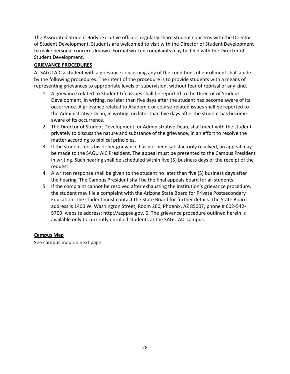The Associated Student Body executive officers regularly share student concerns with the Director of Student Development. Students are welcomed to visit with the Director of Student Development to make personal concerns known. Formal written complaints may be filed with the Director of Student Development.

# **GRIEVANCE PROCEDURES**

At SAGU AIC a student with a grievance concerning any of the conditions of enrollment shall abide by the following procedures. The intent of the procedure is to provide students with a means of representing grievances to appropriate levels of supervision, without fear of reprisal of any kind.

- 1. A grievance related to Student Life issues shall be reported to the Director of Student Development, in writing, no later than five days after the student has become aware of its occurrence. A grievance related to Academic or course-related issues shall be reported to the Administrative Dean, in writing, no later than five days after the student has become aware of its occurrence.
- 2. The Director of Student Development, or Administrative Dean, shall meet with the student privately to discuss the nature and substance of the grievance, in an effort to resolve the matter according to biblical principles.
- 3. If the student feels his or her grievance has not been satisfactorily resolved, an appeal may be made to the SAGU AIC President. The appeal must be presented to the Campus President in writing. Such hearing shall be scheduled within five (5) business days of the receipt of the request.
- 4. A written response shall be given to the student no later than five (5) business days after the hearing. The Campus President shall be the final appeals board for all students.
- 5. If the complaint cannot be resolved after exhausting the institution's grievance procedure, the student may file a complaint with the Arizona State Board for Private Postsecondary Education. The student must contact the State Board for further details. The State Board address is 1400 W. Washington Street, Room 260, Phoenix, AZ 85007, phone # 602-542- 5709, website address: http://azppse.gov. 6. The grievance procedure outlined herein is available only to currently enrolled students at the SAGU AIC campus.

# **Campus Map**

See campus map on next page.